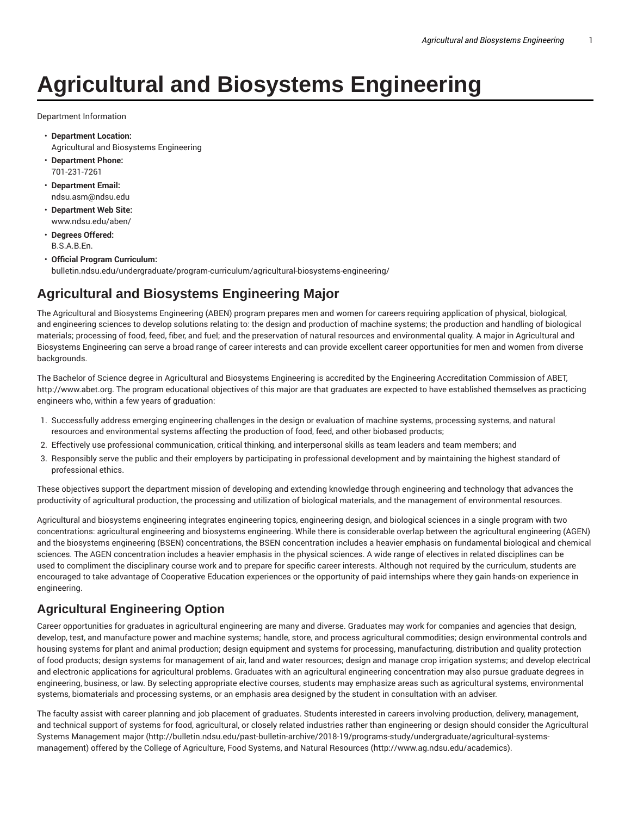# **Agricultural and Biosystems Engineering**

Department Information

- **Department Location:** Agricultural and Biosystems Engineering
- **Department Phone:** 701-231-7261
- **Department Email:** ndsu.asm@ndsu.edu
- **Department Web Site:** www.ndsu.edu/aben/
- **Degrees Offered:** B.S.A.B.En.
- **Official Program Curriculum:** bulletin.ndsu.edu/undergraduate/program-curriculum/agricultural-biosystems-engineering/

## **Agricultural and Biosystems Engineering Major**

The Agricultural and Biosystems Engineering (ABEN) program prepares men and women for careers requiring application of physical, biological, and engineering sciences to develop solutions relating to: the design and production of machine systems; the production and handling of biological materials; processing of food, feed, fiber, and fuel; and the preservation of natural resources and environmental quality. A major in Agricultural and Biosystems Engineering can serve a broad range of career interests and can provide excellent career opportunities for men and women from diverse backgrounds.

The Bachelor of Science degree in Agricultural and Biosystems Engineering is accredited by the Engineering Accreditation Commission of ABET, http://www.abet.org. The program educational objectives of this major are that graduates are expected to have established themselves as practicing engineers who, within a few years of graduation:

- 1. Successfully address emerging engineering challenges in the design or evaluation of machine systems, processing systems, and natural resources and environmental systems affecting the production of food, feed, and other biobased products;
- 2. Effectively use professional communication, critical thinking, and interpersonal skills as team leaders and team members; and
- 3. Responsibly serve the public and their employers by participating in professional development and by maintaining the highest standard of professional ethics.

These objectives support the department mission of developing and extending knowledge through engineering and technology that advances the productivity of agricultural production, the processing and utilization of biological materials, and the management of environmental resources.

Agricultural and biosystems engineering integrates engineering topics, engineering design, and biological sciences in a single program with two concentrations: agricultural engineering and biosystems engineering. While there is considerable overlap between the agricultural engineering (AGEN) and the biosystems engineering (BSEN) concentrations, the BSEN concentration includes a heavier emphasis on fundamental biological and chemical sciences. The AGEN concentration includes a heavier emphasis in the physical sciences. A wide range of electives in related disciplines can be used to compliment the disciplinary course work and to prepare for specific career interests. Although not required by the curriculum, students are encouraged to take advantage of Cooperative Education experiences or the opportunity of paid internships where they gain hands-on experience in engineering.

#### **Agricultural Engineering Option**

Career opportunities for graduates in agricultural engineering are many and diverse. Graduates may work for companies and agencies that design, develop, test, and manufacture power and machine systems; handle, store, and process agricultural commodities; design environmental controls and housing systems for plant and animal production; design equipment and systems for processing, manufacturing, distribution and quality protection of food products; design systems for management of air, land and water resources; design and manage crop irrigation systems; and develop electrical and electronic applications for agricultural problems. Graduates with an agricultural engineering concentration may also pursue graduate degrees in engineering, business, or law. By selecting appropriate elective courses, students may emphasize areas such as agricultural systems, environmental systems, biomaterials and processing systems, or an emphasis area designed by the student in consultation with an adviser.

The faculty assist with career planning and job placement of graduates. Students interested in careers involving production, delivery, management, and technical support of systems for food, agricultural, or closely related industries rather than engineering or design should consider the Agricultural Systems Management major (http://bulletin.ndsu.edu/past-bulletin-archive/2018-19/programs-study/undergraduate/agricultural-systemsmanagement) offered by the College of Agriculture, Food Systems, and Natural Resources (http://www.ag.ndsu.edu/academics).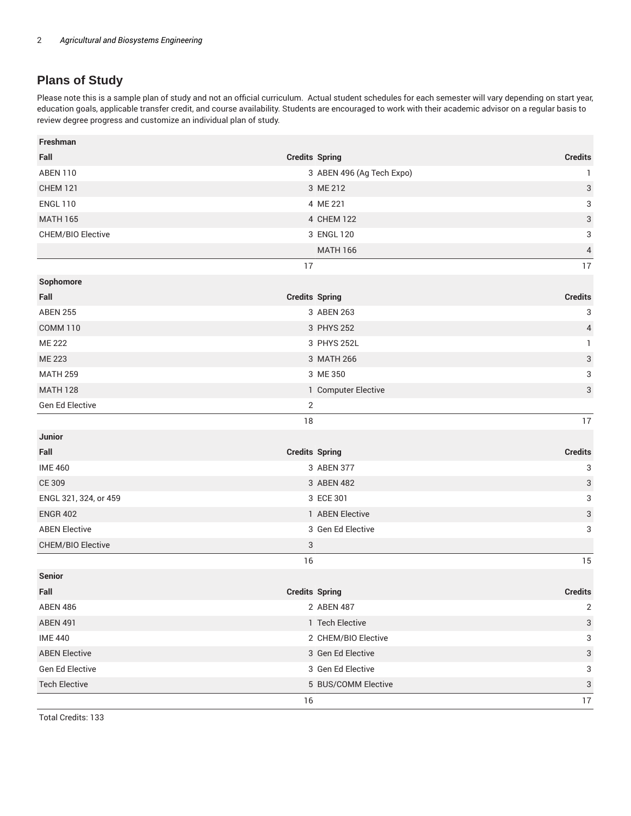### **Plans of Study**

Please note this is a sample plan of study and not an official curriculum. Actual student schedules for each semester will vary depending on start year, education goals, applicable transfer credit, and course availability. Students are encouraged to work with their academic advisor on a regular basis to review degree progress and customize an individual plan of study.

| Freshman                          |                                       |
|-----------------------------------|---------------------------------------|
| Fall<br><b>Credits Spring</b>     | <b>Credits</b>                        |
| <b>ABEN 110</b>                   | 3 ABEN 496 (Ag Tech Expo)<br>1        |
| <b>CHEM 121</b>                   | 3<br>3 ME 212                         |
| <b>ENGL 110</b>                   | 3<br>4 ME 221                         |
| <b>MATH 165</b>                   | 3<br>4 CHEM 122                       |
| CHEM/BIO Elective                 | 3<br>3 ENGL 120                       |
|                                   | $\pmb{4}$<br><b>MATH 166</b>          |
| 17                                | 17                                    |
| Sophomore                         |                                       |
| Fall<br><b>Credits Spring</b>     | <b>Credits</b>                        |
| <b>ABEN 255</b>                   | 3 ABEN 263<br>3                       |
| <b>COMM 110</b>                   | 3 PHYS 252<br>4                       |
| <b>ME 222</b>                     | 3 PHYS 252L<br>$\mathbf{1}$           |
| ME 223                            | 3<br>3 MATH 266                       |
| <b>MATH 259</b>                   | 3<br>3 ME 350                         |
| <b>MATH 128</b>                   | 3<br>1 Computer Elective              |
| Gen Ed Elective<br>$\overline{2}$ |                                       |
| 18                                | 17                                    |
| Junior                            |                                       |
| Fall<br><b>Credits Spring</b>     | <b>Credits</b>                        |
| <b>IME 460</b>                    | 3<br>3 ABEN 377                       |
| CE 309                            | 3 ABEN 482<br>3                       |
| ENGL 321, 324, or 459             | 3<br>3 ECE 301                        |
| <b>ENGR 402</b>                   | 3<br>1 ABEN Elective                  |
| <b>ABEN Elective</b>              | 3<br>3 Gen Ed Elective                |
| CHEM/BIO Elective<br>3            |                                       |
| 16                                | 15                                    |
| <b>Senior</b>                     |                                       |
| Fall<br><b>Credits Spring</b>     | <b>Credits</b>                        |
| <b>ABEN 486</b>                   | 2 ABEN 487<br>$\overline{\mathbf{c}}$ |
| <b>ABEN 491</b>                   | 1 Tech Elective<br>3                  |
| <b>IME 440</b>                    | 2 CHEM/BIO Elective<br>3              |
| <b>ABEN Elective</b>              | 3 Gen Ed Elective<br>3                |
| Gen Ed Elective                   | 3 Gen Ed Elective<br>3                |
| <b>Tech Elective</b>              | 3<br>5 BUS/COMM Elective              |
| 16                                | 17                                    |

Total Credits: 133